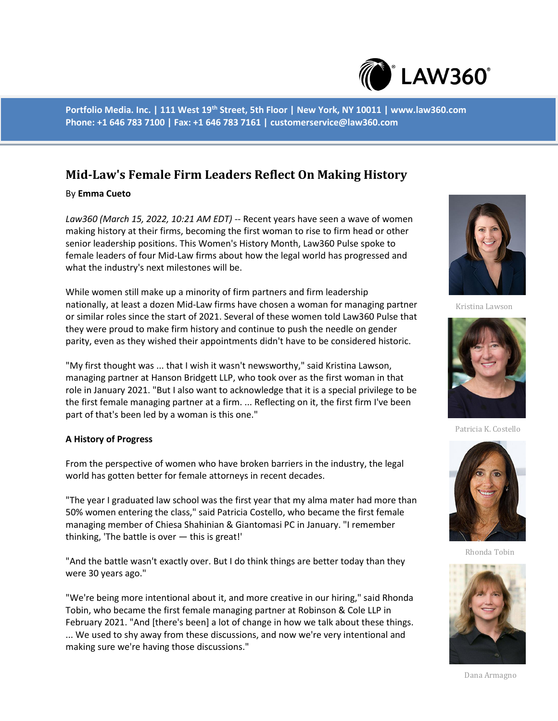

**Portfolio Media. Inc. | 111 West 19th Street, 5th Floor | New York, NY 10011 | www.law360.com Phone: +1 646 783 7100 | Fax: +1 646 783 7161 | customerservice@law360.com**

# **Mid-Law's Female Firm Leaders Reflect On Making History**

# By **Emma Cueto**

*Law360 (March 15, 2022, 10:21 AM EDT)* -- Recent years have seen a wave of women making history at their firms, becoming the first woman to rise to firm head or other senior leadership positions. This Women's History Month, Law360 Pulse spoke to female leaders of four Mid-Law firms about how the legal world has progressed and what the industry's next milestones will be.

While women still make up a minority of firm partners and firm leadership nationally, at least a dozen Mid-Law firms have chosen a woman for managing partner or similar roles since the start of 2021. Several of these women told Law360 Pulse that they were proud to make firm history and continue to push the needle on gender parity, even as they wished their appointments didn't have to be considered historic.

"My first thought was ... that I wish it wasn't newsworthy," said Kristina Lawson, managing partner at Hanson Bridgett LLP, who took over as the first woman in that role in January 2021. "But I also want to acknowledge that it is a special privilege to be the first female managing partner at a firm. ... Reflecting on it, the first firm I've been part of that's been led by a woman is this one."

### **A History of Progress**

From the perspective of women who have broken barriers in the industry, the legal world has gotten better for female attorneys in recent decades.

"The year I graduated law school was the first year that my alma mater had more than 50% women entering the class," said Patricia Costello, who became the first female managing member of Chiesa Shahinian & Giantomasi PC in January. "I remember thinking, 'The battle is over — this is great!'

"And the battle wasn't exactly over. But I do think things are better today than they were 30 years ago."

"We're being more intentional about it, and more creative in our hiring," said Rhonda Tobin, who became the first female managing partner at Robinson & Cole LLP in February 2021. "And [there's been] a lot of change in how we talk about these things. ... We used to shy away from these discussions, and now we're very intentional and making sure we're having those discussions."



Kristina Lawson



Patricia K. Costello



Rhonda Tobin



Dana Armagno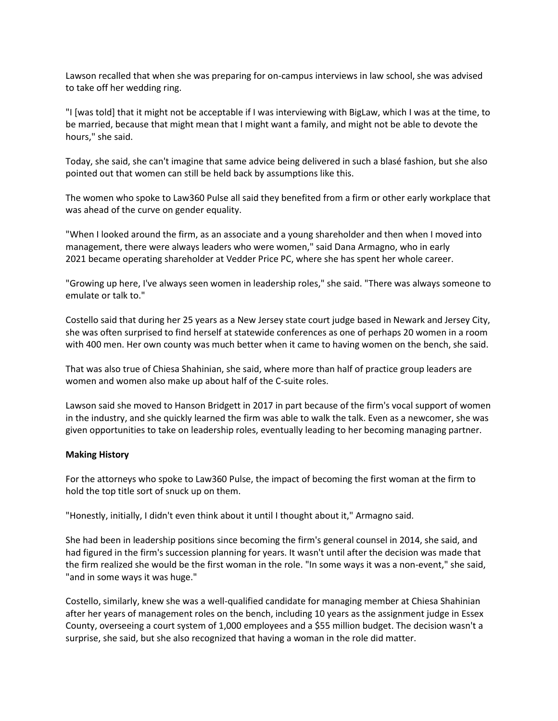Lawson recalled that when she was preparing for on-campus interviews in law school, she was advised to take off her wedding ring.

"I [was told] that it might not be acceptable if I was interviewing with BigLaw, which I was at the time, to be married, because that might mean that I might want a family, and might not be able to devote the hours," she said.

Today, she said, she can't imagine that same advice being delivered in such a blasé fashion, but she also pointed out that women can still be held back by assumptions like this.

The women who spoke to Law360 Pulse all said they benefited from a firm or other early workplace that was ahead of the curve on gender equality.

"When I looked around the firm, as an associate and a young shareholder and then when I moved into management, there were always leaders who were women," said Dana Armagno, who in early 2021 became operating shareholder at Vedder Price PC, where she has spent her whole career.

"Growing up here, I've always seen women in leadership roles," she said. "There was always someone to emulate or talk to."

Costello said that during her 25 years as a New Jersey state court judge based in Newark and Jersey City, she was often surprised to find herself at statewide conferences as one of perhaps 20 women in a room with 400 men. Her own county was much better when it came to having women on the bench, she said.

That was also true of Chiesa Shahinian, she said, where more than half of practice group leaders are women and women also make up about half of the C-suite roles.

Lawson said she moved to Hanson Bridgett in 2017 in part because of the firm's vocal support of women in the industry, and she quickly learned the firm was able to walk the talk. Even as a newcomer, she was given opportunities to take on leadership roles, eventually leading to her becoming managing partner.

### **Making History**

For the attorneys who spoke to Law360 Pulse, the impact of becoming the first woman at the firm to hold the top title sort of snuck up on them.

"Honestly, initially, I didn't even think about it until I thought about it," Armagno said.

She had been in leadership positions since becoming the firm's general counsel in 2014, she said, and had figured in the firm's succession planning for years. It wasn't until after the decision was made that the firm realized she would be the first woman in the role. "In some ways it was a non-event," she said, "and in some ways it was huge."

Costello, similarly, knew she was a well-qualified candidate for managing member at Chiesa Shahinian after her years of management roles on the bench, including 10 years as the assignment judge in Essex County, overseeing a court system of 1,000 employees and a \$55 million budget. The decision wasn't a surprise, she said, but she also recognized that having a woman in the role did matter.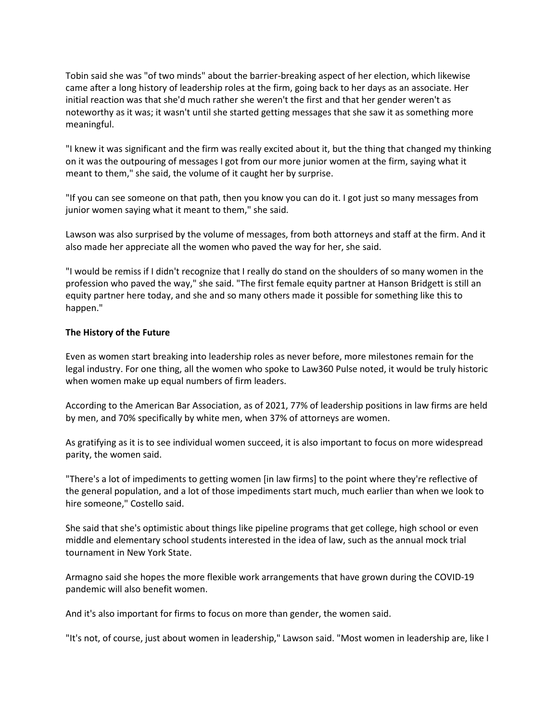Tobin said she was "of two minds" about the barrier-breaking aspect of her election, which likewise came after a long history of leadership roles at the firm, going back to her days as an associate. Her initial reaction was that she'd much rather she weren't the first and that her gender weren't as noteworthy as it was; it wasn't until she started getting messages that she saw it as something more meaningful.

"I knew it was significant and the firm was really excited about it, but the thing that changed my thinking on it was the outpouring of messages I got from our more junior women at the firm, saying what it meant to them," she said, the volume of it caught her by surprise.

"If you can see someone on that path, then you know you can do it. I got just so many messages from junior women saying what it meant to them," she said.

Lawson was also surprised by the volume of messages, from both attorneys and staff at the firm. And it also made her appreciate all the women who paved the way for her, she said.

"I would be remiss if I didn't recognize that I really do stand on the shoulders of so many women in the profession who paved the way," she said. "The first female equity partner at Hanson Bridgett is still an equity partner here today, and she and so many others made it possible for something like this to happen."

# **The History of the Future**

Even as women start breaking into leadership roles as never before, more milestones remain for the legal industry. For one thing, all the women who spoke to Law360 Pulse noted, it would be truly historic when women make up equal numbers of firm leaders.

According to the American Bar Association, as of 2021, 77% of leadership positions in law firms are held by men, and 70% specifically by white men, when 37% of attorneys are women.

As gratifying as it is to see individual women succeed, it is also important to focus on more widespread parity, the women said.

"There's a lot of impediments to getting women [in law firms] to the point where they're reflective of the general population, and a lot of those impediments start much, much earlier than when we look to hire someone," Costello said.

She said that she's optimistic about things like pipeline programs that get college, high school or even middle and elementary school students interested in the idea of law, such as the annual mock trial tournament in New York State.

Armagno said she hopes the more flexible work arrangements that have grown during the COVID-19 pandemic will also benefit women.

And it's also important for firms to focus on more than gender, the women said.

"It's not, of course, just about women in leadership," Lawson said. "Most women in leadership are, like I